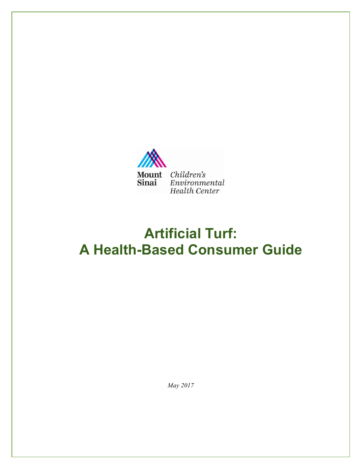

# **Artificial Turf: A Health-Based Consumer Guide**

*May 2017*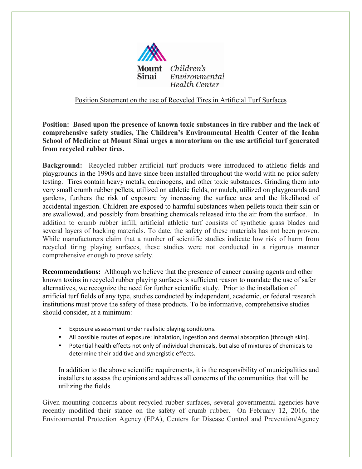

#### Position Statement on the use of Recycled Tires in Artificial Turf Surfaces

**Position: Based upon the presence of known toxic substances in tire rubber and the lack of comprehensive safety studies, The Children's Environmental Health Center of the Icahn School of Medicine at Mount Sinai urges a moratorium on the use artificial turf generated from recycled rubber tires.** 

**Background:** Recycled rubber artificial turf products were introduced to athletic fields and playgrounds in the 1990s and have since been installed throughout the world with no prior safety testing.Tires contain heavy metals, carcinogens, and other toxic substances. Grinding them into very small crumb rubber pellets, utilized on athletic fields, or mulch, utilized on playgrounds and gardens, furthers the risk of exposure by increasing the surface area and the likelihood of accidental ingestion. Children are exposed to harmful substances when pellets touch their skin or are swallowed, and possibly from breathing chemicals released into the air from the surface. In addition to crumb rubber infill, artificial athletic turf consists of synthetic grass blades and several layers of backing materials. To date, the safety of these materials has not been proven. While manufacturers claim that a number of scientific studies indicate low risk of harm from recycled tiring playing surfaces, these studies were not conducted in a rigorous manner comprehensive enough to prove safety.

**Recommendations:** Although we believe that the presence of cancer causing agents and other known toxins in recycled rubber playing surfaces is sufficient reason to mandate the use of safer alternatives, we recognize the need for further scientific study. Prior to the installation of artificial turf fields of any type, studies conducted by independent, academic, or federal research institutions must prove the safety of these products. To be informative, comprehensive studies should consider, at a minimum:

- Exposure assessment under realistic playing conditions.
- All possible routes of exposure: inhalation, ingestion and dermal absorption (through skin).
- Potential health effects not only of individual chemicals, but also of mixtures of chemicals to determine their additive and synergistic effects.

In addition to the above scientific requirements, it is the responsibility of municipalities and installers to assess the opinions and address all concerns of the communities that will be utilizing the fields.

Given mounting concerns about recycled rubber surfaces, several governmental agencies have recently modified their stance on the safety of crumb rubber. On February 12, 2016, the Environmental Protection Agency (EPA), Centers for Disease Control and Prevention/Agency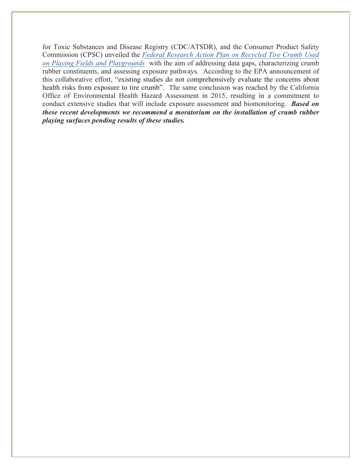for Toxic Substances and Disease Registry (CDC/ATSDR), and the Consumer Product Safety Commission (CPSC) unveiled the *Federal Research Action Plan on Recycled Tire Crumb Used on Playing Fields and Playgrounds* with the aim of addressing data gaps, characterizing crumb rubber constituents, and assessing exposure pathways. According to the EPA announcement of this collaborative effort, "existing studies do not comprehensively evaluate the concerns about health risks from exposure to tire crumb". The same conclusion was reached by the California Office of Environmental Health Hazard Assessment in 2015, resulting in a commitment to conduct extensive studies that will include exposure assessment and biomonitoring. *Based on these recent developments we recommend a moratorium on the installation of crumb rubber playing surfaces pending results of these studies.*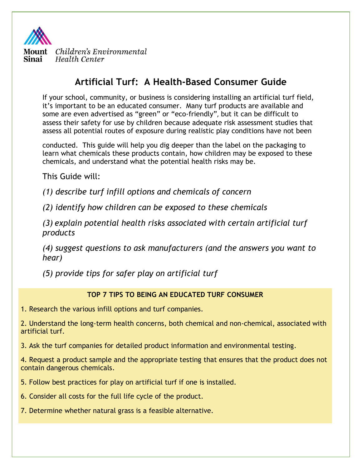

# **Artificial Turf: A Health-Based Consumer Guide**

If your school, community, or business is considering installing an artificial turf field, it's important to be an educated consumer. Many turf products are available and some are even advertised as "green" or "eco-friendly", but it can be difficult to assess their safety for use by children because adequate risk assessment studies that assess all potential routes of exposure during realistic play conditions have not been

conducted. This guide will help you dig deeper than the label on the packaging to learn what chemicals these products contain, how children may be exposed to these chemicals, and understand what the potential health risks may be.

This Guide will:

*(1) describe turf infill options and chemicals of concern*

*(2) identify how children can be exposed to these chemicals*

*(3) explain potential health risks associated with certain artificial turf products*

*(4) suggest questions to ask manufacturers (and the answers you want to hear)*

*(5) provide tips for safer play on artificial turf*

### **TOP 7 TIPS TO BEING AN EDUCATED TURF CONSUMER**

1. Research the various infill options and turf companies.

2. Understand the long-term health concerns, both chemical and non-chemical, associated with artificial turf.

3. Ask the turf companies for detailed product information and environmental testing.

4. Request a product sample and the appropriate testing that ensures that the product does not contain dangerous chemicals.

5. Follow best practices for play on artificial turf if one is installed.

6. Consider all costs for the full life cycle of the product.

7. Determine whether natural grass is a feasible alternative.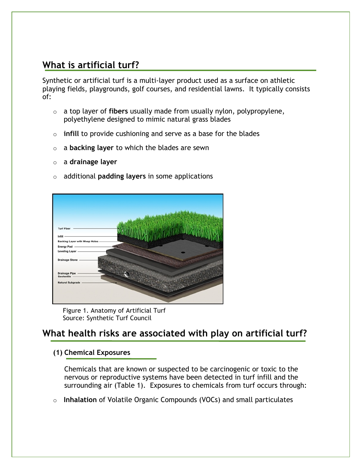# **What is artificial turf?**

Synthetic or artificial turf is a multi-layer product used as a surface on athletic playing fields, playgrounds, golf courses, and residential lawns. It typically consists of:

- o a top layer of **fibers** usually made from usually nylon, polypropylene, polyethylene designed to mimic natural grass blades
- o **infill** to provide cushioning and serve as a base for the blades
- o a **backing layer** to which the blades are sewn
- o a **drainage layer**
- o additional **padding layers** in some applications



Figure 1. Anatomy of Artificial Turf Source: Synthetic Turf Council

# **What health risks are associated with play on artificial turf?**

#### **(1) Chemical Exposures**

Chemicals that are known or suspected to be carcinogenic or toxic to the nervous or reproductive systems have been detected in turf infill and the surrounding air (Table 1). Exposures to chemicals from turf occurs through:

o **Inhalation** of Volatile Organic Compounds (VOCs) and small particulates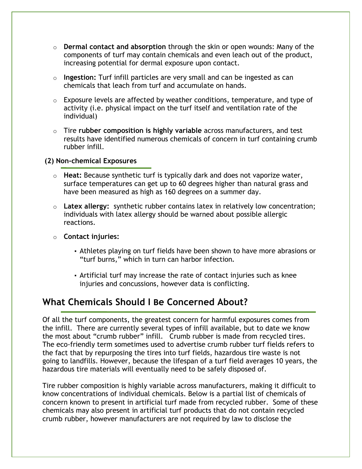- o **Dermal contact and absorption** through the skin or open wounds: Many of the components of turf may contain chemicals and even leach out of the product, increasing potential for dermal exposure upon contact.
- o **Ingestion:** Turf infill particles are very small and can be ingested as can chemicals that leach from turf and accumulate on hands.
- $\circ$  Exposure levels are affected by weather conditions, temperature, and type of activity (i.e. physical impact on the turf itself and ventilation rate of the individual)
- o Tire **rubber composition is highly variable** across manufacturers, and test results have identified numerous chemicals of concern in turf containing crumb rubber infill.

#### **(2) Non-chemical Exposures**

- o **Heat:** Because synthetic turf is typically dark and does not vaporize water, surface temperatures can get up to 60 degrees higher than natural grass and have been measured as high as 160 degrees on a summer day.
- o **Latex allergy:** synthetic rubber contains latex in relatively low concentration; individuals with latex allergy should be warned about possible allergic reactions.
- o **Contact injuries:**
	- Athletes playing on turf fields have been shown to have more abrasions or "turf burns," which in turn can harbor infection**.**
	- Artificial turf may increase the rate of contact injuries such as knee injuries and concussions, however data is conflicting.

# **What Chemicals Should I Be Concerned About?**

Of all the turf components, the greatest concern for harmful exposures comes from the infill. There are currently several types of infill available, but to date we know the most about "crumb rubber" infill. Crumb rubber is made from recycled tires. The eco-friendly term sometimes used to advertise crumb rubber turf fields refers to the fact that by repurposing the tires into turf fields, hazardous tire waste is not going to landfills. However, because the lifespan of a turf field averages 10 years, the hazardous tire materials will eventually need to be safely disposed of.

Tire rubber composition is highly variable across manufacturers, making it difficult to know concentrations of individual chemicals. Below is a partial list of chemicals of concern known to present in artificial turf made from recycled rubber. Some of these chemicals may also present in artificial turf products that do not contain recycled crumb rubber, however manufacturers are not required by law to disclose the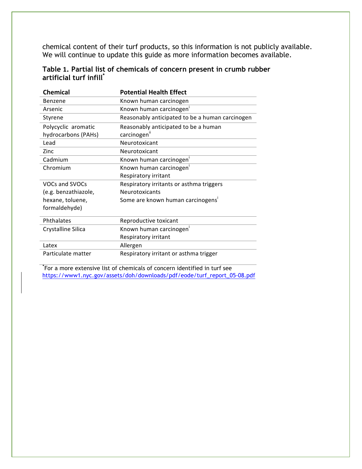chemical content of their turf products, so this information is not publicly available. We will continue to update this guide as more information becomes available.

|                                     | Table 1. Partial list of chemicals of concern present in crumb rubber |  |  |
|-------------------------------------|-----------------------------------------------------------------------|--|--|
| artificial turf infill <sup>*</sup> |                                                                       |  |  |

| <b>Chemical</b>      | <b>Potential Health Effect</b>                  |
|----------------------|-------------------------------------------------|
| Benzene              | Known human carcinogen                          |
| Arsenic              | Known human carcinogen                          |
| Styrene              | Reasonably anticipated to be a human carcinogen |
| Polycyclic aromatic  | Reasonably anticipated to be a human            |
| hydrocarbons (PAHs)  | carcinogen"                                     |
| Lead                 | Neurotoxicant                                   |
| Zinc                 | Neurotoxicant                                   |
| Cadmium              | Known human carcinogen'                         |
| Chromium             | Known human carcinogen                          |
|                      | Respiratory irritant                            |
| VOCs and SVOCs       | Respiratory irritants or asthma triggers        |
| (e.g. benzathiazole, | <b>Neurotoxicants</b>                           |
| hexane, toluene,     | Some are known human carcinogens <sup>i</sup>   |
| formaldehyde)        |                                                 |
| Phthalates           | Reproductive toxicant                           |
| Crystalline Silica   | Known human carcinogen <sup>i</sup>             |
|                      | Respiratory irritant                            |
| Latex                | Allergen                                        |
| Particulate matter   | Respiratory irritant or asthma trigger          |

**\*** For a more extensive list of chemicals of concern identified in turf see https://www1.nyc.gov/assets/doh/downloads/pdf/eode/turf\_report\_05-08.pdf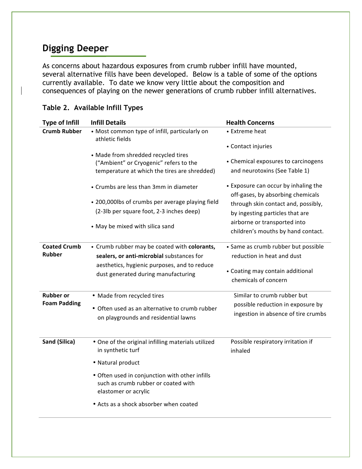# **Digging Deeper**

As concerns about hazardous exposures from crumb rubber infill have mounted, several alternative fills have been developed. Below is a table of some of the options currently available. To date we know very little about the composition and consequences of playing on the newer generations of crumb rubber infill alternatives.

| <b>Type of Infill</b>                | <b>Infill Details</b>                                                                                                                                                            | <b>Health Concerns</b>                                                                                                        |
|--------------------------------------|----------------------------------------------------------------------------------------------------------------------------------------------------------------------------------|-------------------------------------------------------------------------------------------------------------------------------|
| <b>Crumb Rubber</b>                  | • Most common type of infill, particularly on<br>athletic fields                                                                                                                 | • Extreme heat                                                                                                                |
|                                      |                                                                                                                                                                                  | • Contact injuries                                                                                                            |
|                                      | • Made from shredded recycled tires<br>("Ambient" or Cryogenic" refers to the<br>temperature at which the tires are shredded)                                                    | • Chemical exposures to carcinogens<br>and neurotoxins (See Table 1)                                                          |
|                                      | • Crumbs are less than 3mm in diameter                                                                                                                                           | • Exposure can occur by inhaling the<br>off-gases, by absorbing chemicals                                                     |
|                                      | • 200,000lbs of crumbs per average playing field<br>(2-3lb per square foot, 2-3 inches deep)                                                                                     | through skin contact and, possibly,<br>by ingesting particles that are                                                        |
|                                      | • May be mixed with silica sand                                                                                                                                                  | airborne or transported into<br>children's mouths by hand contact.                                                            |
| <b>Coated Crumb</b><br><b>Rubber</b> | • Crumb rubber may be coated with colorants,<br>sealers, or anti-microbial substances for<br>aesthetics, hygienic purposes, and to reduce<br>dust generated during manufacturing | • Same as crumb rubber but possible<br>reduction in heat and dust<br>• Coating may contain additional<br>chemicals of concern |
| <b>Rubber or</b>                     | • Made from recycled tires                                                                                                                                                       | Similar to crumb rubber but                                                                                                   |
| <b>Foam Padding</b>                  | • Often used as an alternative to crumb rubber<br>on playgrounds and residential lawns                                                                                           | possible reduction in exposure by<br>ingestion in absence of tire crumbs                                                      |
| Sand (Silica)                        | . One of the original infilling materials utilized<br>in synthetic turf                                                                                                          | Possible respiratory irritation if<br>inhaled                                                                                 |
|                                      | • Natural product                                                                                                                                                                |                                                                                                                               |
|                                      | • Often used in conjunction with other infills<br>such as crumb rubber or coated with<br>elastomer or acrylic                                                                    |                                                                                                                               |
|                                      | • Acts as a shock absorber when coated                                                                                                                                           |                                                                                                                               |

### **Table 2. Available Infill Types**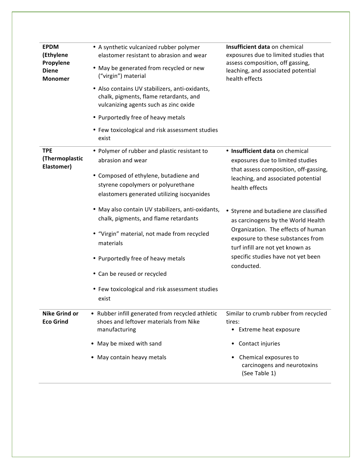| <b>EPDM</b><br>(Ethylene<br>Propylene<br><b>Diene</b><br><b>Monomer</b> | • A synthetic vulcanized rubber polymer<br>elastomer resistant to abrasion and wear<br>• May be generated from recycled or new<br>("virgin") material<br>• Also contains UV stabilizers, anti-oxidants,<br>chalk, pigments, flame retardants, and<br>vulcanizing agents such as zinc oxide | Insufficient data on chemical<br>exposures due to limited studies that<br>assess composition, off gassing,<br>leaching, and associated potential<br>health effects                                     |  |
|-------------------------------------------------------------------------|--------------------------------------------------------------------------------------------------------------------------------------------------------------------------------------------------------------------------------------------------------------------------------------------|--------------------------------------------------------------------------------------------------------------------------------------------------------------------------------------------------------|--|
|                                                                         |                                                                                                                                                                                                                                                                                            |                                                                                                                                                                                                        |  |
|                                                                         | • Purportedly free of heavy metals                                                                                                                                                                                                                                                         |                                                                                                                                                                                                        |  |
|                                                                         | • Few toxicological and risk assessment studies<br>exist                                                                                                                                                                                                                                   |                                                                                                                                                                                                        |  |
| <b>TPE</b><br>(Thermoplastic<br>Elastomer)                              | • Polymer of rubber and plastic resistant to<br>abrasion and wear<br>• Composed of ethylene, butadiene and<br>styrene copolymers or polyurethane<br>elastomers generated utilizing isocyanides                                                                                             | • Insufficient data on chemical<br>exposures due to limited studies<br>that assess composition, off-gassing,<br>leaching, and associated potential<br>health effects                                   |  |
|                                                                         | · May also contain UV stabilizers, anti-oxidants,<br>chalk, pigments, and flame retardants<br>• "Virgin" material, not made from recycled<br>materials                                                                                                                                     | Styrene and butadiene are classified<br>$\bullet$<br>as carcinogens by the World Health<br>Organization. The effects of human<br>exposure to these substances from<br>turf infill are not yet known as |  |
|                                                                         | • Purportedly free of heavy metals                                                                                                                                                                                                                                                         | specific studies have not yet been<br>conducted.                                                                                                                                                       |  |
|                                                                         | • Can be reused or recycled                                                                                                                                                                                                                                                                |                                                                                                                                                                                                        |  |
|                                                                         | • Few toxicological and risk assessment studies<br>exist                                                                                                                                                                                                                                   |                                                                                                                                                                                                        |  |
| <b>Nike Grind or</b><br><b>Eco Grind</b>                                | • Rubber infill generated from recycled athletic<br>shoes and leftover materials from Nike<br>manufacturing                                                                                                                                                                                | Similar to crumb rubber from recycled<br>tires:<br>• Extreme heat exposure                                                                                                                             |  |
|                                                                         | • May be mixed with sand                                                                                                                                                                                                                                                                   | Contact injuries<br>$\bullet$                                                                                                                                                                          |  |
|                                                                         | • May contain heavy metals                                                                                                                                                                                                                                                                 | Chemical exposures to<br>$\bullet$<br>carcinogens and neurotoxins<br>(See Table 1)                                                                                                                     |  |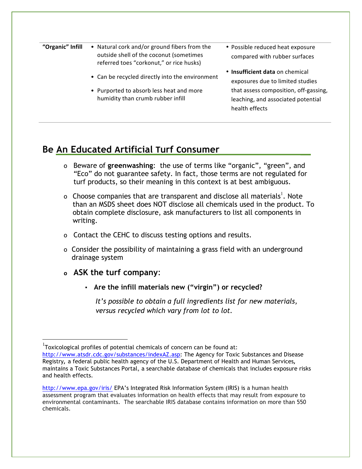| "Organic" Infill | • Natural cork and/or ground fibers from the |  |
|------------------|----------------------------------------------|--|
|                  | outside shell of the coconut (sometimes      |  |
|                  | referred toes "corkonut," or rice husks)     |  |

- Can be recycled directly into the environment
- Purported to absorb less heat and more humidity than crumb rubber infill
- Possible reduced heat exposure compared with rubber surfaces
- **Insufficient data** on chemical exposures due to limited studies that assess composition, off-gassing, leaching, and associated potential health effects

### **Be An Educated Artificial Turf Consumer**

- o Beware of **greenwashing**: the use of terms like "organic", "green", and "Eco" do not guarantee safety. In fact, those terms are not regulated for turf products, so their meaning in this context is at best ambiguous.
- o Choose companies that are transparent and disclose all materials<sup>1</sup>. Note than an MSDS sheet does NOT disclose all chemicals used in the product. To obtain complete disclosure, ask manufacturers to list all components in writing.
- o Contact the CEHC to discuss testing options and results.
- o Consider the possibility of maintaining a grass field with an underground drainage system
- **o ASK the turf company**:
	- **Are the infill materials new ("virgin") or recycled?**

*It's possible to obtain a full ingredients list for new materials, versus recycled which vary from lot to lot.*

 <sup>1</sup> Toxicological profiles of potential chemicals of concern can be found at:

http://www.atsdr.cdc.gov/substances/indexAZ.asp: The Agency for Toxic Substances and Disease Registry**,** a federal public health agency of the U.S. Department of Health and Human Services**,** maintains a Toxic Substances Portal, a searchable database of chemicals that includes exposure risks and health effects.

http://www.epa.gov/iris/ EPA's Integrated Risk Information System (IRIS) is a human health assessment program that evaluates information on health effects that may result from exposure to environmental contaminants. The searchable IRIS database contains information on more than 550 chemicals.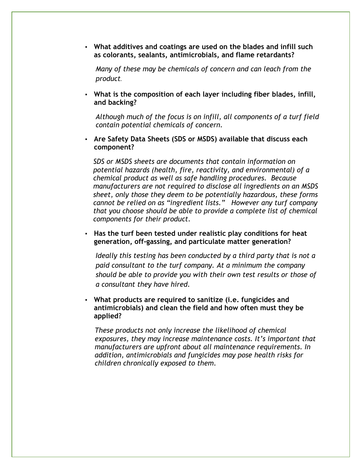▪ **What additives and coatings are used on the blades and infill such as colorants, sealants, antimicrobials, and flame retardants?**

*Many of these may be chemicals of concern and can leach from the product.*

▪ **What is the composition of each layer including fiber blades, infill, and backing?**

*Although much of the focus is on infill, all components of a turf field contain potential chemicals of concern.*

▪ **Are Safety Data Sheets (SDS or MSDS) available that discuss each component?**

*SDS or MSDS sheets are documents that contain information on potential hazards (health, fire, reactivity, and environmental) of a chemical product as well as safe handling procedures. Because manufacturers are not required to disclose all ingredients on an MSDS sheet, only those they deem to be potentially hazardous, these forms cannot be relied on as "ingredient lists." However any turf company that you choose should be able to provide a complete list of chemical components for their product.*

▪ **Has the turf been tested under realistic play conditions for heat generation, off-gassing, and particulate matter generation?**

*Ideally this testing has been conducted by a third party that is not a paid consultant to the turf company. At a minimum the company should be able to provide you with their own test results or those of a consultant they have hired.*

▪ **What products are required to sanitize (i.e. fungicides and antimicrobials) and clean the field and how often must they be applied?**

*These products not only increase the likelihood of chemical exposures, they may increase maintenance costs. It's important that manufacturers are upfront about all maintenance requirements. In addition, antimicrobials and fungicides may pose health risks for children chronically exposed to them.*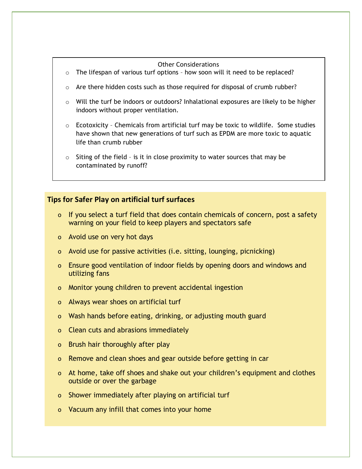#### Other Considerations

- $\circ$  The lifespan of various turf options how soon will it need to be replaced?
- $\circ$  Are there hidden costs such as those required for disposal of crumb rubber?
- $\circ$  Will the turf be indoors or outdoors? Inhalational exposures are likely to be higher indoors without proper ventilation.
- $\circ$  Ecotoxicity Chemicals from artificial turf may be toxic to wildlife. Some studies have shown that new generations of turf such as EPDM are more toxic to aquatic life than crumb rubber
- o Siting of the field is it in close proximity to water sources that may be contaminated by runoff?

#### **Tips for Safer Play on artificial turf surfaces**

- o If you select a turf field that does contain chemicals of concern, post a safety warning on your field to keep players and spectators safe
- o Avoid use on very hot days
- o Avoid use for passive activities (i.e. sitting, lounging, picnicking)
- o Ensure good ventilation of indoor fields by opening doors and windows and utilizing fans
- o Monitor young children to prevent accidental ingestion
- o Always wear shoes on artificial turf
- o Wash hands before eating, drinking, or adjusting mouth guard
- o Clean cuts and abrasions immediately
- o Brush hair thoroughly after play
- o Remove and clean shoes and gear outside before getting in car
- o At home, take off shoes and shake out your children's equipment and clothes outside or over the garbage
- o Shower immediately after playing on artificial turf
- o Vacuum any infill that comes into your home